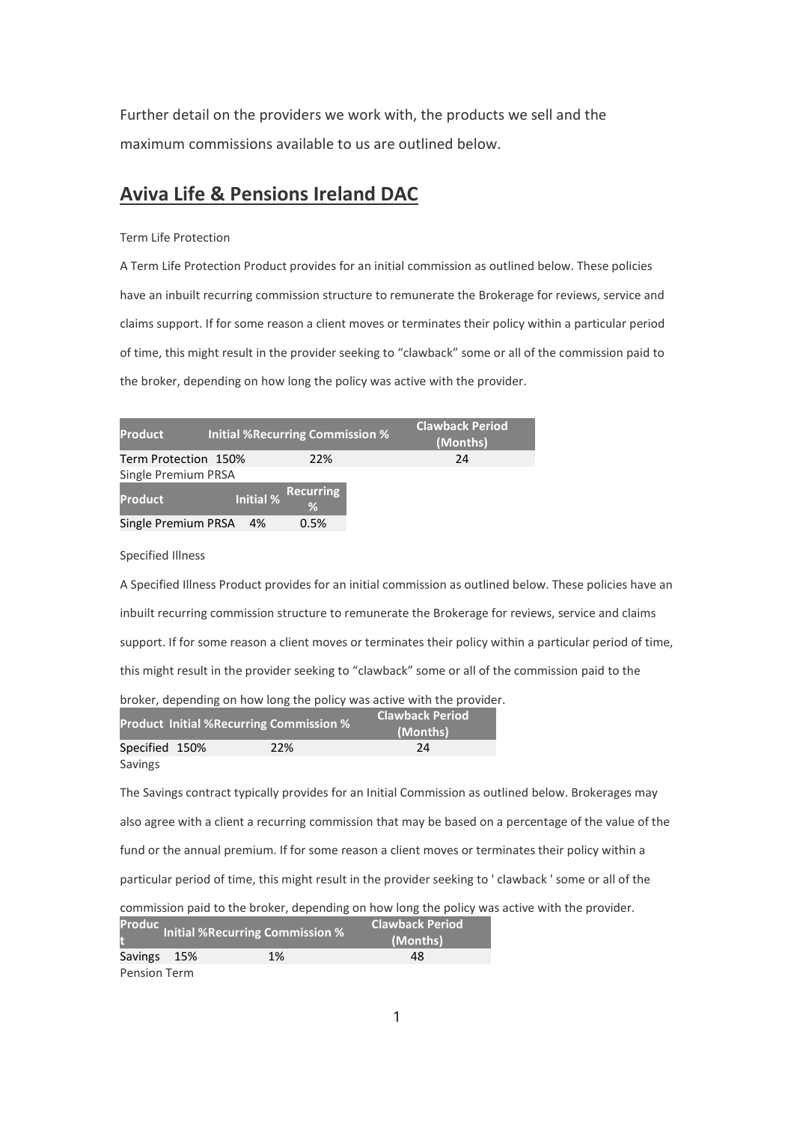Further detail on the providers we work with, the products we sell and the maximum commissions available to us are outlined below.

# Aviva Life & Pensions Ireland DAC

### Term Life Protection

A Term Life Protection Product provides for an initial commission as outlined below. These policies have an inbuilt recurring commission structure to remunerate the Brokerage for reviews, service and claims support. If for some reason a client moves or terminates their policy within a particular period of time, this might result in the provider seeking to "clawback" some or all of the commission paid to the broker, depending on how long the policy was active with the provider.

| <b>Product</b>       |                  | <b>Initial %Recurring Commission %</b> | <b>Clawback Period</b><br>(Months) |
|----------------------|------------------|----------------------------------------|------------------------------------|
| Term Protection 150% |                  | 22%                                    | 24                                 |
| Single Premium PRSA  |                  |                                        |                                    |
| <b>Product</b>       | <b>Initial %</b> | <b>Recurring</b><br>%                  |                                    |
| Single Premium PRSA  | 4%               | 0.5%                                   |                                    |

Specified Illness

A Specified Illness Product provides for an initial commission as outlined below. These policies have an inbuilt recurring commission structure to remunerate the Brokerage for reviews, service and claims support. If for some reason a client moves or terminates their policy within a particular period of time, this might result in the provider seeking to "clawback" some or all of the commission paid to the

broker, depending on how long the policy was active with the provider.

|                |  | <b>Product Initial %Recurring Commission %</b> | <b>Clawback Period</b><br>(Months) |
|----------------|--|------------------------------------------------|------------------------------------|
| Specified 150% |  | 22%                                            | 24                                 |
| Savings        |  |                                                |                                    |

The Savings contract typically provides for an Initial Commission as outlined below. Brokerages may also agree with a client a recurring commission that may be based on a percentage of the value of the fund or the annual premium. If for some reason a client moves or terminates their policy within a particular period of time, this might result in the provider seeking to ' clawback ' some or all of the commission paid to the broker, depending on how long the policy was active with the provider. Produc.. **Inches** Clawback Period

|              | Initial %Recurring Commission % | (Months) |
|--------------|---------------------------------|----------|
| Savings 15%  | 1%                              | 48       |
| Pension Term |                                 |          |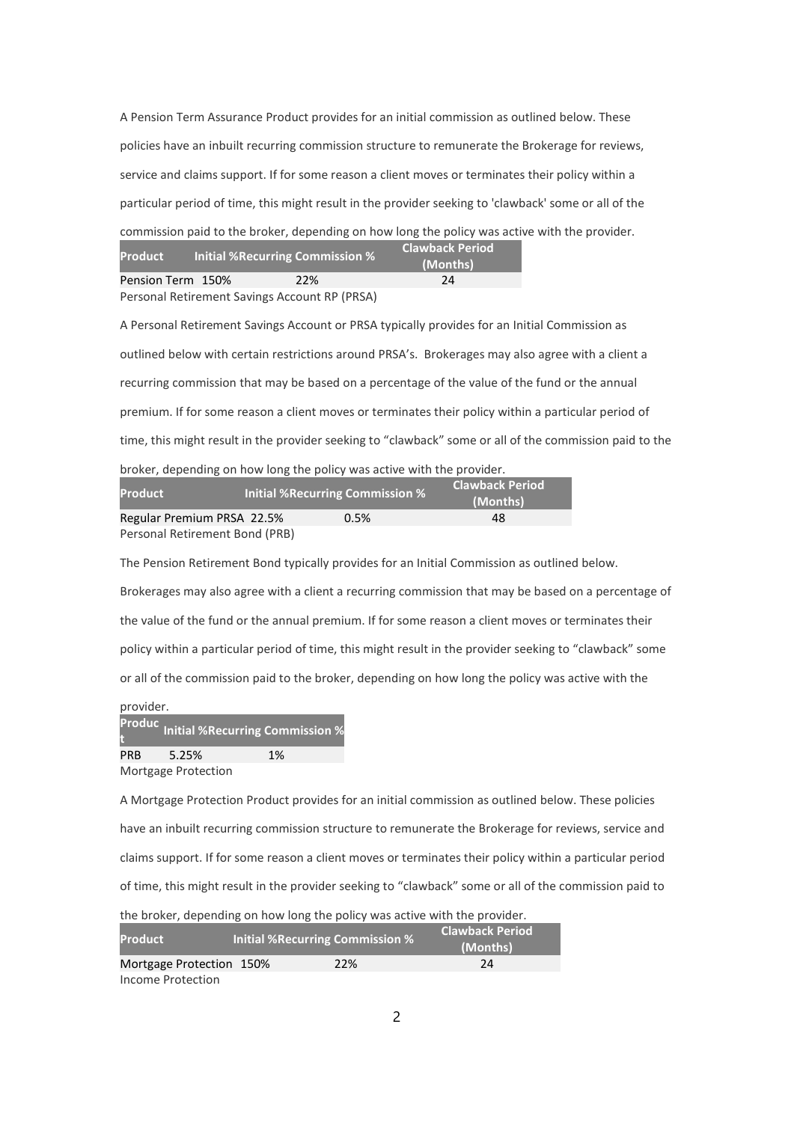A Pension Term Assurance Product provides for an initial commission as outlined below. These policies have an inbuilt recurring commission structure to remunerate the Brokerage for reviews, service and claims support. If for some reason a client moves or terminates their policy within a particular period of time, this might result in the provider seeking to 'clawback' some or all of the commission paid to the broker, depending on how long the policy was active with the provider. **Clawback Period** 

| Product           | Initial %Recurring Commission %               |     | (Months) |
|-------------------|-----------------------------------------------|-----|----------|
| Pension Term 150% |                                               | 22% | 24       |
|                   | Personal Retirement Savings Account RP (PRSA) |     |          |

A Personal Retirement Savings Account or PRSA typically provides for an Initial Commission as outlined below with certain restrictions around PRSA's. Brokerages may also agree with a client a recurring commission that may be based on a percentage of the value of the fund or the annual premium. If for some reason a client moves or terminates their policy within a particular period of time, this might result in the provider seeking to "clawback" some or all of the commission paid to the broker, depending on how long the policy was active with the provider.

| <b>Product</b>                 | <b>Initial %Recurring Commission %</b> | <b>Clawback Period</b><br>(Months) |
|--------------------------------|----------------------------------------|------------------------------------|
| Regular Premium PRSA 22.5%     | 0.5%                                   | 48                                 |
| Personal Retirement Bond (PRB) |                                        |                                    |

The Pension Retirement Bond typically provides for an Initial Commission as outlined below. Brokerages may also agree with a client a recurring commission that may be based on a percentage of the value of the fund or the annual premium. If for some reason a client moves or terminates their policy within a particular period of time, this might result in the provider seeking to "clawback" some or all of the commission paid to the broker, depending on how long the policy was active with the

| provider.  |                            |                                             |
|------------|----------------------------|---------------------------------------------|
|            |                            | Produc<br>t Unitial %Recurring Commission % |
| <b>PRB</b> | 5.25%                      | 1%                                          |
|            | <b>Mortgage Protection</b> |                                             |

A Mortgage Protection Product provides for an initial commission as outlined below. These policies have an inbuilt recurring commission structure to remunerate the Brokerage for reviews, service and claims support. If for some reason a client moves or terminates their policy within a particular period of time, this might result in the provider seeking to "clawback" some or all of the commission paid to the broker, depending on how long the policy was active with the provider.

| <b>Product</b>           | <b>Initial % Recurring Commission %</b> | <b>Clawback Period</b><br>(Months) |
|--------------------------|-----------------------------------------|------------------------------------|
| Mortgage Protection 150% | 22%                                     | 24                                 |
| Income Protection        |                                         |                                    |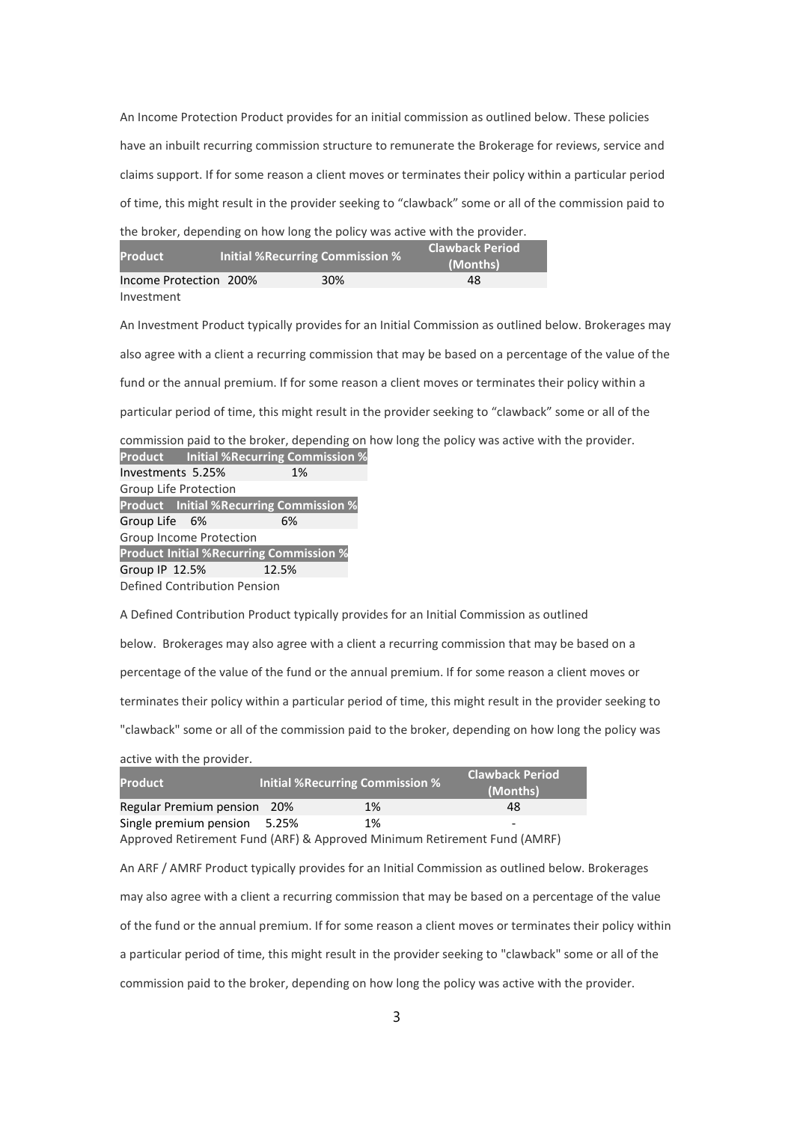An Income Protection Product provides for an initial commission as outlined below. These policies have an inbuilt recurring commission structure to remunerate the Brokerage for reviews, service and claims support. If for some reason a client moves or terminates their policy within a particular period of time, this might result in the provider seeking to "clawback" some or all of the commission paid to

| the broker, depending on how long the policy was active with the provider. |  |                                 |                                    |  |
|----------------------------------------------------------------------------|--|---------------------------------|------------------------------------|--|
| <b>Product</b>                                                             |  | Initial %Recurring Commission % | <b>Clawback Period</b><br>(Months) |  |
| Income Protection 200%                                                     |  | 30%                             | 48                                 |  |
| Investment                                                                 |  |                                 |                                    |  |

An Investment Product typically provides for an Initial Commission as outlined below. Brokerages may also agree with a client a recurring commission that may be based on a percentage of the value of the fund or the annual premium. If for some reason a client moves or terminates their policy within a particular period of time, this might result in the provider seeking to "clawback" some or all of the

commission paid to the broker, depending on how long the policy was active with the provider. Product Initial %Recurring Commission %

| Investments 5.25%            |  | 1%                                             |  |
|------------------------------|--|------------------------------------------------|--|
| Group Life Protection        |  |                                                |  |
|                              |  | <b>Product</b> Initial %Recurring Commission % |  |
| Group Life 6%                |  | 6%                                             |  |
| Group Income Protection      |  |                                                |  |
|                              |  | <b>Product Initial %Recurring Commission %</b> |  |
| Group IP 12.5%               |  | 12.5%                                          |  |
| Defined Contribution Pension |  |                                                |  |

A Defined Contribution Product typically provides for an Initial Commission as outlined below. Brokerages may also agree with a client a recurring commission that may be based on a percentage of the value of the fund or the annual premium. If for some reason a client moves or terminates their policy within a particular period of time, this might result in the provider seeking to "clawback" some or all of the commission paid to the broker, depending on how long the policy was

active with the provider.

| <b>Product</b>              |       | Initial %Recurring Commission % | <b>Clawback Period</b><br>(Months) |
|-----------------------------|-------|---------------------------------|------------------------------------|
| Regular Premium pension 20% |       | 1%                              | 48                                 |
| Single premium pension      | 5.25% | 1%                              | -                                  |

Approved Retirement Fund (ARF) & Approved Minimum Retirement Fund (AMRF)

An ARF / AMRF Product typically provides for an Initial Commission as outlined below. Brokerages may also agree with a client a recurring commission that may be based on a percentage of the value of the fund or the annual premium. If for some reason a client moves or terminates their policy within a particular period of time, this might result in the provider seeking to "clawback" some or all of the commission paid to the broker, depending on how long the policy was active with the provider.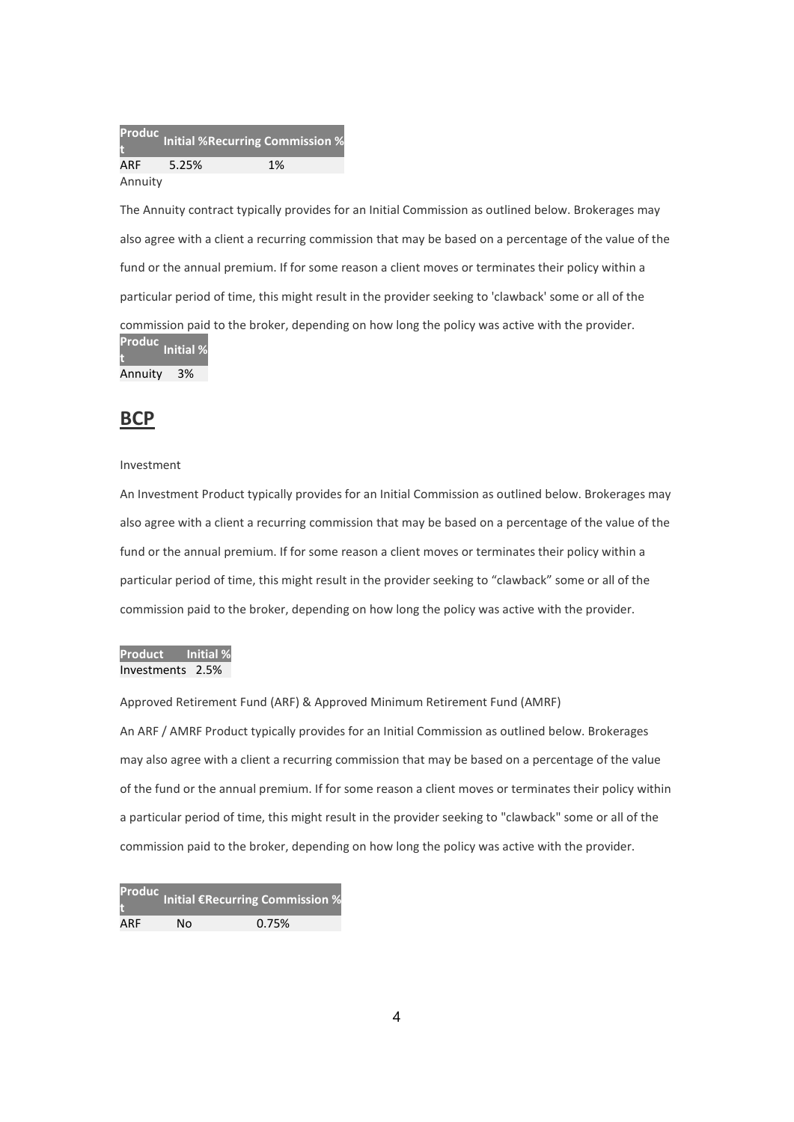Produc Troude Initial %Recurring Commission %<br>t ARF 5.25% 1% Annuity

The Annuity contract typically provides for an Initial Commission as outlined below. Brokerages may also agree with a client a recurring commission that may be based on a percentage of the value of the fund or the annual premium. If for some reason a client moves or terminates their policy within a particular period of time, this might result in the provider seeking to 'clawback' some or all of the commission paid to the broker, depending on how long the policy was active with the provider. Produc t<br>t

Annuity 3%

# **BCP**

#### Investment

An Investment Product typically provides for an Initial Commission as outlined below. Brokerages may also agree with a client a recurring commission that may be based on a percentage of the value of the fund or the annual premium. If for some reason a client moves or terminates their policy within a particular period of time, this might result in the provider seeking to "clawback" some or all of the commission paid to the broker, depending on how long the policy was active with the provider.

### Product Initial % Investments 2.5%

Approved Retirement Fund (ARF) & Approved Minimum Retirement Fund (AMRF) An ARF / AMRF Product typically provides for an Initial Commission as outlined below. Brokerages may also agree with a client a recurring commission that may be based on a percentage of the value of the fund or the annual premium. If for some reason a client moves or terminates their policy within a particular period of time, this might result in the provider seeking to "clawback" some or all of the commission paid to the broker, depending on how long the policy was active with the provider.

Produc t **Initial €Recurring Commission %** ARF No 0.75%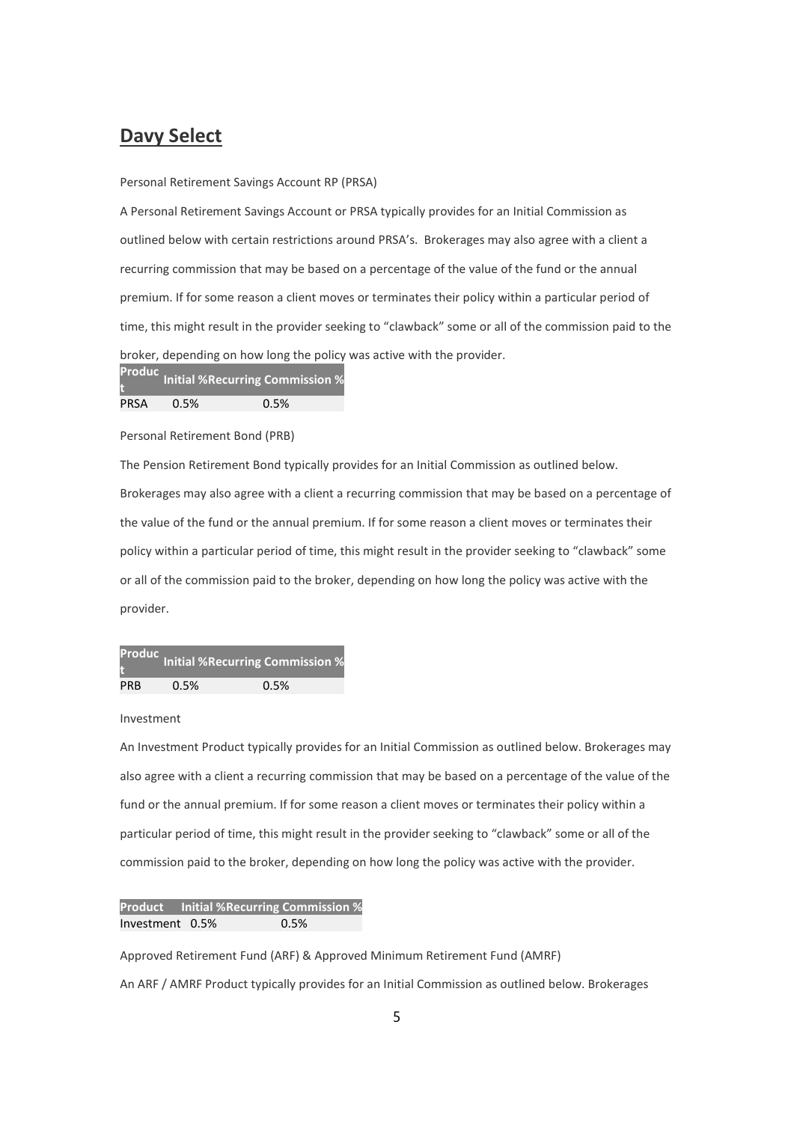# Davy Select

### Personal Retirement Savings Account RP (PRSA)

A Personal Retirement Savings Account or PRSA typically provides for an Initial Commission as outlined below with certain restrictions around PRSA's. Brokerages may also agree with a client a recurring commission that may be based on a percentage of the value of the fund or the annual premium. If for some reason a client moves or terminates their policy within a particular period of time, this might result in the provider seeking to "clawback" some or all of the commission paid to the broker, depending on how long the policy was active with the provider.

Produc t Initial %Recurring Commission % PRSA 0.5% 0.5%

Personal Retirement Bond (PRB)

The Pension Retirement Bond typically provides for an Initial Commission as outlined below. Brokerages may also agree with a client a recurring commission that may be based on a percentage of the value of the fund or the annual premium. If for some reason a client moves or terminates their policy within a particular period of time, this might result in the provider seeking to "clawback" some or all of the commission paid to the broker, depending on how long the policy was active with the provider.

|            |      | Productoring Commission % |
|------------|------|---------------------------|
| <b>PRB</b> | 0.5% | 0.5%                      |

Investment

An Investment Product typically provides for an Initial Commission as outlined below. Brokerages may also agree with a client a recurring commission that may be based on a percentage of the value of the fund or the annual premium. If for some reason a client moves or terminates their policy within a particular period of time, this might result in the provider seeking to "clawback" some or all of the commission paid to the broker, depending on how long the policy was active with the provider.

Product Initial %Recurring Commission % Investment 0.5% 0.5%

Approved Retirement Fund (ARF) & Approved Minimum Retirement Fund (AMRF) An ARF / AMRF Product typically provides for an Initial Commission as outlined below. Brokerages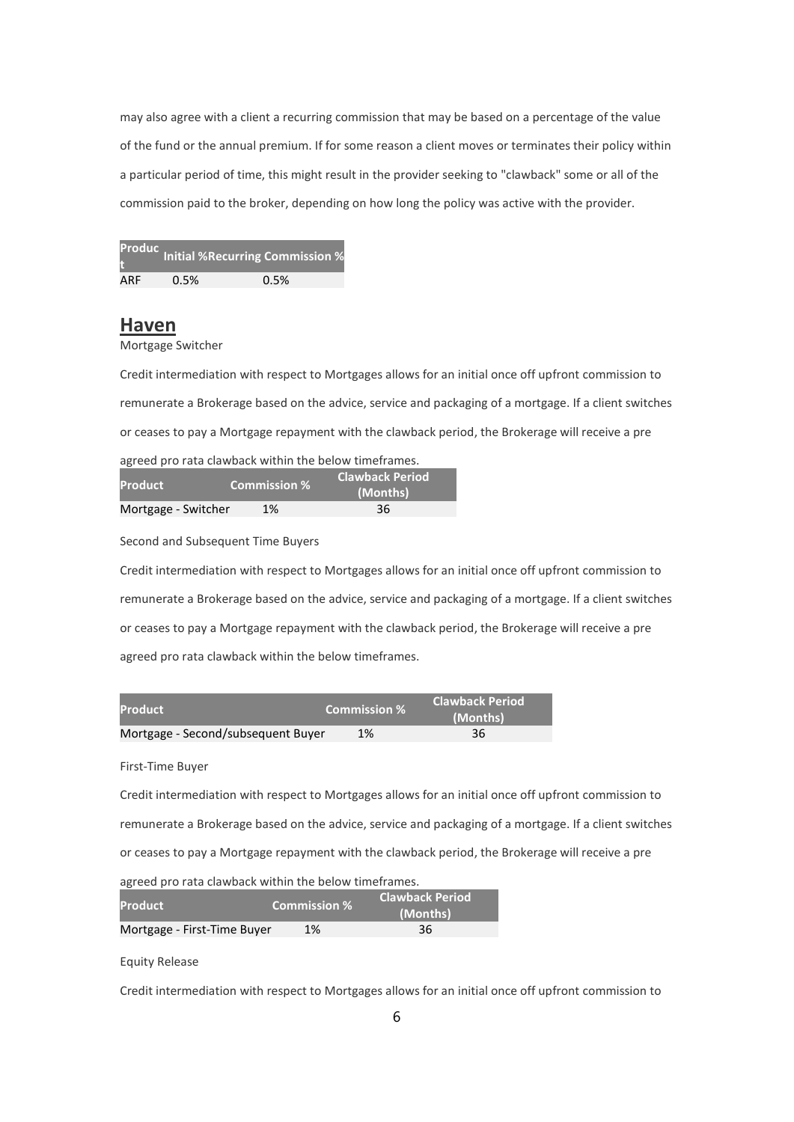may also agree with a client a recurring commission that may be based on a percentage of the value of the fund or the annual premium. If for some reason a client moves or terminates their policy within a particular period of time, this might result in the provider seeking to "clawback" some or all of the commission paid to the broker, depending on how long the policy was active with the provider.

|     |      | <b>Produc</b> Initial %Recurring Commission % |
|-----|------|-----------------------------------------------|
| ARF | 0.5% | 0.5%                                          |

## Haven

Mortgage Switcher

Credit intermediation with respect to Mortgages allows for an initial once off upfront commission to remunerate a Brokerage based on the advice, service and packaging of a mortgage. If a client switches or ceases to pay a Mortgage repayment with the clawback period, the Brokerage will receive a pre agreed pro rata clawback within the below timeframes.

| <b>Product</b>      | <b>Commission %</b> | <b>Clawback Period</b><br>(Months) |
|---------------------|---------------------|------------------------------------|
| Mortgage - Switcher | 1%                  | 36                                 |

Second and Subsequent Time Buyers

Credit intermediation with respect to Mortgages allows for an initial once off upfront commission to remunerate a Brokerage based on the advice, service and packaging of a mortgage. If a client switches or ceases to pay a Mortgage repayment with the clawback period, the Brokerage will receive a pre agreed pro rata clawback within the below timeframes.

| <b>Product</b>                     | <b>Commission %</b> | <b>Clawback Period</b><br>(Months) |
|------------------------------------|---------------------|------------------------------------|
| Mortgage - Second/subsequent Buyer | 1%                  | 36                                 |

First-Time Buyer

Credit intermediation with respect to Mortgages allows for an initial once off upfront commission to remunerate a Brokerage based on the advice, service and packaging of a mortgage. If a client switches or ceases to pay a Mortgage repayment with the clawback period, the Brokerage will receive a pre agreed pro rata clawback within the below timeframes.

| <b>Product</b>              | <b>Commission %</b> | <b>Clawback Period</b><br>(Months) |
|-----------------------------|---------------------|------------------------------------|
| Mortgage - First-Time Buyer | 1%                  | 36                                 |

Equity Release

Credit intermediation with respect to Mortgages allows for an initial once off upfront commission to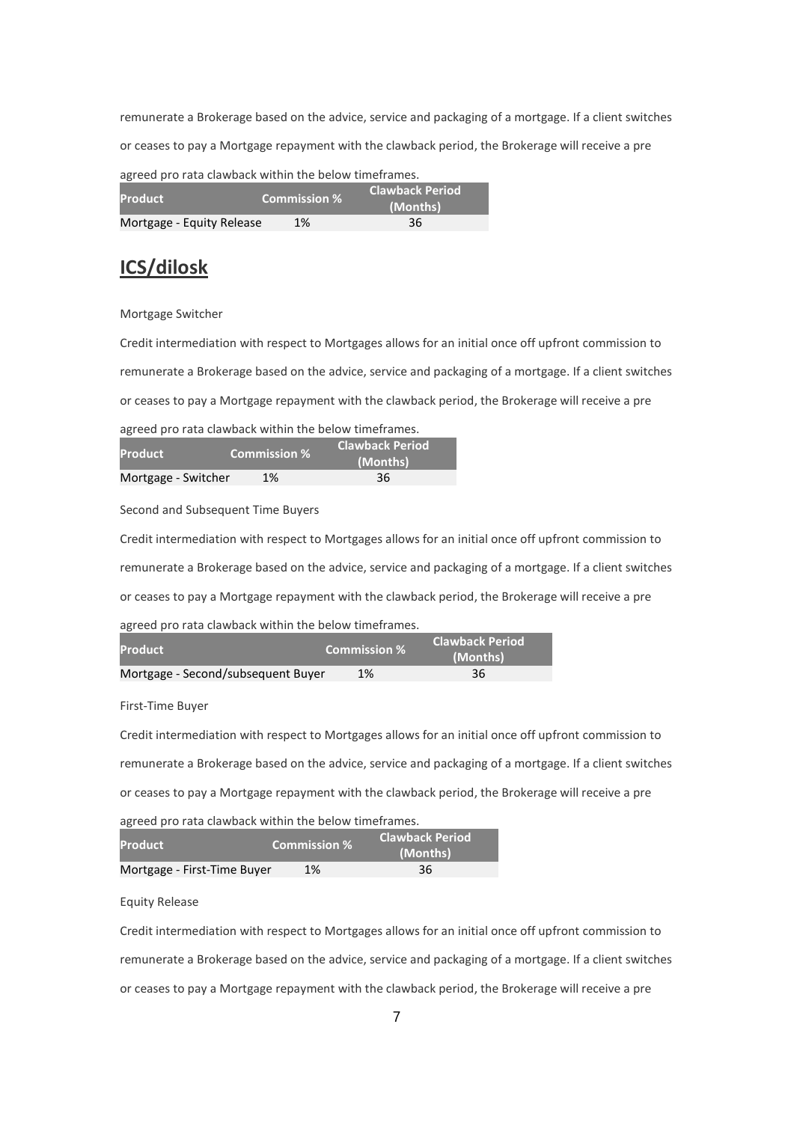remunerate a Brokerage based on the advice, service and packaging of a mortgage. If a client switches or ceases to pay a Mortgage repayment with the clawback period, the Brokerage will receive a pre agreed pro rata clawback within the below timeframes.

| <u>un academic in the anti-theory in the film and the film film and the set of the set of the set of the set of th</u> |                                               |          |
|------------------------------------------------------------------------------------------------------------------------|-----------------------------------------------|----------|
| <b>Product</b>                                                                                                         | <b>Clawback Period</b><br><b>Commission %</b> |          |
|                                                                                                                        |                                               | (Months) |
| Mortgage - Equity Release                                                                                              | 1%                                            | 36       |

# ICS/dilosk

### Mortgage Switcher

Credit intermediation with respect to Mortgages allows for an initial once off upfront commission to remunerate a Brokerage based on the advice, service and packaging of a mortgage. If a client switches or ceases to pay a Mortgage repayment with the clawback period, the Brokerage will receive a pre

agreed pro rata clawback within the below timeframes.

| <b>Product</b>      | <b>Commission %</b> | Clawback Period<br>(Months) |  |
|---------------------|---------------------|-----------------------------|--|
| Mortgage - Switcher | 1%                  | 36                          |  |

Second and Subsequent Time Buyers

Credit intermediation with respect to Mortgages allows for an initial once off upfront commission to remunerate a Brokerage based on the advice, service and packaging of a mortgage. If a client switches or ceases to pay a Mortgage repayment with the clawback period, the Brokerage will receive a pre agreed pro rata clawback within the below timeframes.

| <b>Product</b>                     | <b>Commission %</b> | <b>Clawback Period</b><br>(Months) |
|------------------------------------|---------------------|------------------------------------|
| Mortgage - Second/subsequent Buyer | 1%                  | 36                                 |

First-Time Buyer

Credit intermediation with respect to Mortgages allows for an initial once off upfront commission to remunerate a Brokerage based on the advice, service and packaging of a mortgage. If a client switches or ceases to pay a Mortgage repayment with the clawback period, the Brokerage will receive a pre

agreed pro rata clawback within the below timeframes.

| <b>Product</b>              | <b>Commission %</b> | <b>Clawback Period</b><br>(Months) |
|-----------------------------|---------------------|------------------------------------|
| Mortgage - First-Time Buyer | 1%                  | 36                                 |

Equity Release

Credit intermediation with respect to Mortgages allows for an initial once off upfront commission to remunerate a Brokerage based on the advice, service and packaging of a mortgage. If a client switches or ceases to pay a Mortgage repayment with the clawback period, the Brokerage will receive a pre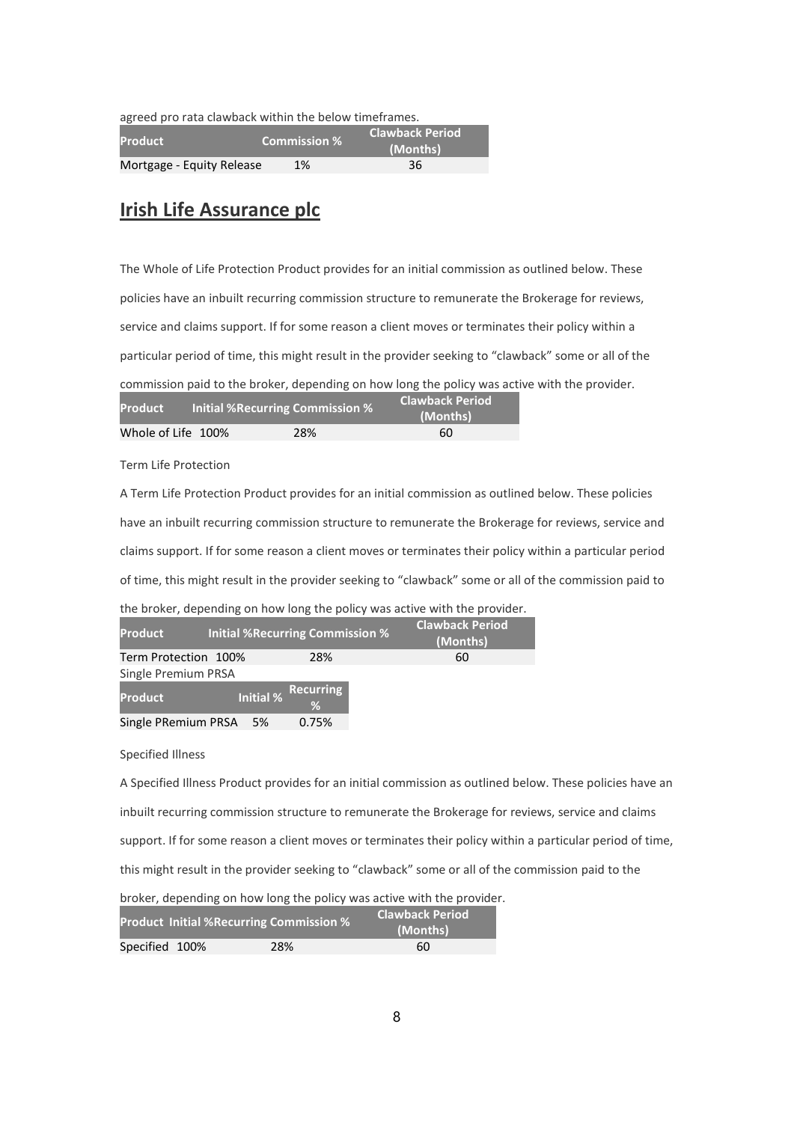agreed pro rata clawback within the below timeframes.

| <b>Product</b>            | <b>Commission %</b> | <b>Clawback Period</b><br>(Months) |
|---------------------------|---------------------|------------------------------------|
| Mortgage - Equity Release | 1%                  | 36                                 |

# Irish Life Assurance plc

The Whole of Life Protection Product provides for an initial commission as outlined below. These policies have an inbuilt recurring commission structure to remunerate the Brokerage for reviews, service and claims support. If for some reason a client moves or terminates their policy within a particular period of time, this might result in the provider seeking to "clawback" some or all of the commission paid to the broker, depending on how long the policy was active with the provider.

| <b>Initial %Recurring Commission %</b><br><b>Product</b> |  | <b>Clawback Period</b><br>(Months) |    |  |
|----------------------------------------------------------|--|------------------------------------|----|--|
| Whole of Life 100%                                       |  | 28%                                | 60 |  |

Term Life Protection

A Term Life Protection Product provides for an initial commission as outlined below. These policies have an inbuilt recurring commission structure to remunerate the Brokerage for reviews, service and claims support. If for some reason a client moves or terminates their policy within a particular period of time, this might result in the provider seeking to "clawback" some or all of the commission paid to

|  | the broker, depending on how long the policy was active with the provider. |  |  |  |  |
|--|----------------------------------------------------------------------------|--|--|--|--|
|--|----------------------------------------------------------------------------|--|--|--|--|

| <b>Product</b>         |                  | <b>Initial %Recurring Commission %</b> | <b>Clawback Period</b><br>(Months) |
|------------------------|------------------|----------------------------------------|------------------------------------|
| Term Protection 100%   |                  | 28%                                    | 60                                 |
| Single Premium PRSA    |                  |                                        |                                    |
| Product                | <b>Initial %</b> | Recurring<br>%                         |                                    |
| Single PRemium PRSA 5% |                  | 0.75%                                  |                                    |

Specified Illness

A Specified Illness Product provides for an initial commission as outlined below. These policies have an inbuilt recurring commission structure to remunerate the Brokerage for reviews, service and claims support. If for some reason a client moves or terminates their policy within a particular period of time, this might result in the provider seeking to "clawback" some or all of the commission paid to the broker, depending on how long the policy was active with the provider.

|                | <b>Product Initial %Recurring Commission %</b> |     | <b>Clawback Period</b><br>(Months) |
|----------------|------------------------------------------------|-----|------------------------------------|
| Specified 100% |                                                | 28% | 60                                 |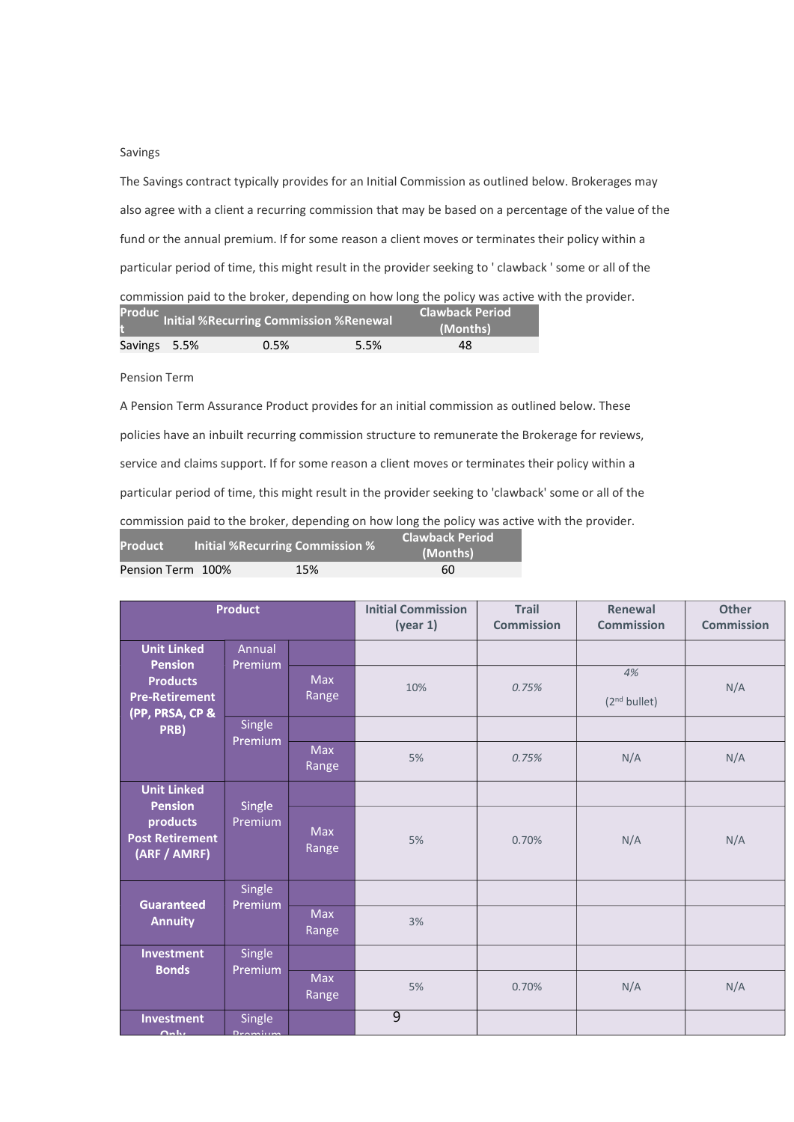### Savings

The Savings contract typically provides for an Initial Commission as outlined below. Brokerages may also agree with a client a recurring commission that may be based on a percentage of the value of the fund or the annual premium. If for some reason a client moves or terminates their policy within a particular period of time, this might result in the provider seeking to ' clawback ' some or all of the commission paid to the broker, depending on how long the policy was active with the provider.

|              | Produc Initial %Recurring Commission %Renewal |      | <b>Clawback Period</b><br>(Months) |
|--------------|-----------------------------------------------|------|------------------------------------|
| Savings 5.5% | 0.5%                                          | 5.5% | 48                                 |

Pension Term

A Pension Term Assurance Product provides for an initial commission as outlined below. These policies have an inbuilt recurring commission structure to remunerate the Brokerage for reviews, service and claims support. If for some reason a client moves or terminates their policy within a particular period of time, this might result in the provider seeking to 'clawback' some or all of the commission paid to the broker, depending on how long the policy was active with the provider.

| <b>Product</b>    | Initial %Recurring Commission % | <b>Clawback Period</b><br>(Months) |
|-------------------|---------------------------------|------------------------------------|
| Pension Term 100% | 15%                             | 60                                 |

| <b>Product</b>                                                                |                          | <b>Initial Commission</b><br>(year 1) | <b>Trail</b><br><b>Commission</b> | Renewal<br><b>Commission</b> | <b>Other</b><br><b>Commission</b> |     |
|-------------------------------------------------------------------------------|--------------------------|---------------------------------------|-----------------------------------|------------------------------|-----------------------------------|-----|
| <b>Unit Linked</b>                                                            | Annual                   |                                       |                                   |                              |                                   |     |
| <b>Pension</b><br><b>Products</b><br><b>Pre-Retirement</b><br>(PP, PRSA, CP & | Premium                  | <b>Max</b><br>Range                   | 10%                               | 0.75%                        | 4%<br>(2 <sup>nd</sup> bullet)    | N/A |
| PRB)                                                                          | Single                   |                                       |                                   |                              |                                   |     |
|                                                                               | Premium                  | <b>Max</b><br>Range                   | 5%                                | 0.75%                        | N/A                               | N/A |
| <b>Unit Linked</b>                                                            |                          |                                       |                                   |                              |                                   |     |
| <b>Pension</b><br>products<br><b>Post Retirement</b><br>(ARF / AMRF)          | <b>Single</b><br>Premium | <b>Max</b><br>Range                   | 5%                                | 0.70%                        | N/A                               | N/A |
|                                                                               | Single                   |                                       |                                   |                              |                                   |     |
| <b>Guaranteed</b><br><b>Annuity</b>                                           | Premium                  | <b>Max</b><br>Range                   | 3%                                |                              |                                   |     |
| <b>Investment</b>                                                             | Single                   |                                       |                                   |                              |                                   |     |
| <b>Bonds</b>                                                                  | Premium                  | <b>Max</b><br>Range                   | 5%                                | 0.70%                        | N/A                               | N/A |
| <b>Investment</b><br><b>Only</b>                                              | Single<br>Dramium        |                                       | $\overline{9}$                    |                              |                                   |     |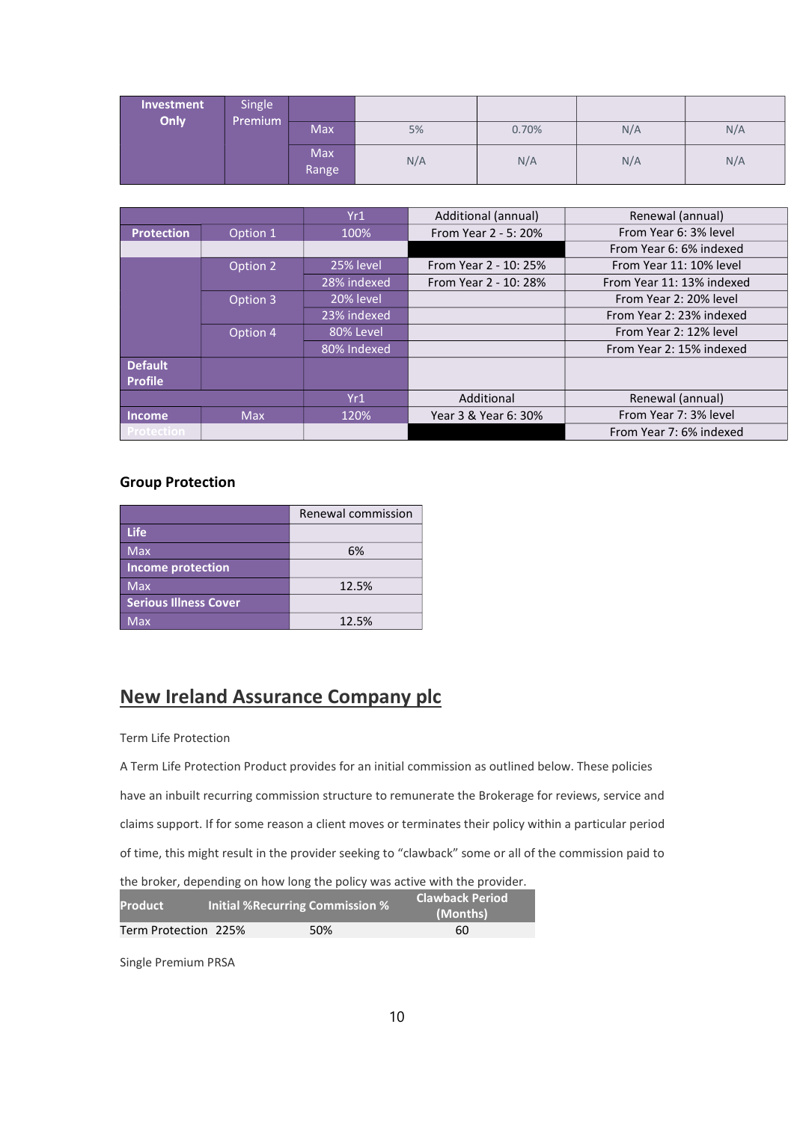| Investment<br>Only | Single<br>Premium |                     |     |       |     |     |
|--------------------|-------------------|---------------------|-----|-------|-----|-----|
|                    |                   | Max                 | 5%  | 0.70% | N/A | N/A |
|                    |                   | <b>Max</b><br>Range | N/A | N/A   | N/A | N/A |

|                   |            | Yr1         | Additional (annual)   | Renewal (annual)          |
|-------------------|------------|-------------|-----------------------|---------------------------|
| <b>Protection</b> | Option 1   | 100%        | From Year 2 - 5: 20%  | From Year 6: 3% level     |
|                   |            |             |                       | From Year 6: 6% indexed   |
|                   | Option 2   | 25% level   | From Year 2 - 10: 25% | From Year 11: 10% level   |
|                   |            | 28% indexed | From Year 2 - 10: 28% | From Year 11: 13% indexed |
|                   | Option 3   | 20% level   |                       | From Year 2: 20% level    |
|                   |            | 23% indexed |                       | From Year 2: 23% indexed  |
|                   | Option 4   | 80% Level   |                       | From Year 2: 12% level    |
|                   |            | 80% Indexed |                       | From Year 2: 15% indexed  |
| <b>Default</b>    |            |             |                       |                           |
| <b>Profile</b>    |            |             |                       |                           |
|                   |            | Yr1         | Additional            | Renewal (annual)          |
| <b>Income</b>     | <b>Max</b> | 120%        | Year 3 & Year 6: 30%  | From Year 7: 3% level     |
| <b>Protection</b> |            |             |                       | From Year 7: 6% indexed   |

### Group Protection

|                              | Renewal commission |
|------------------------------|--------------------|
| <b>Life</b>                  |                    |
| <b>Max</b>                   | 6%                 |
| <b>Income protection</b>     |                    |
| <b>Max</b>                   | 12.5%              |
| <b>Serious Illness Cover</b> |                    |
| <b>Max</b>                   | 12.5%              |

# New Ireland Assurance Company plc

### Term Life Protection

A Term Life Protection Product provides for an initial commission as outlined below. These policies have an inbuilt recurring commission structure to remunerate the Brokerage for reviews, service and claims support. If for some reason a client moves or terminates their policy within a particular period of time, this might result in the provider seeking to "clawback" some or all of the commission paid to the broker, depending on how long the policy was active with the provider.

| <b>Product</b>       |  | <b>Initial %Recurring Commission %</b> | <b>Clawback Period</b><br>(Months) |
|----------------------|--|----------------------------------------|------------------------------------|
| Term Protection 225% |  | 50%                                    | 60                                 |

Single Premium PRSA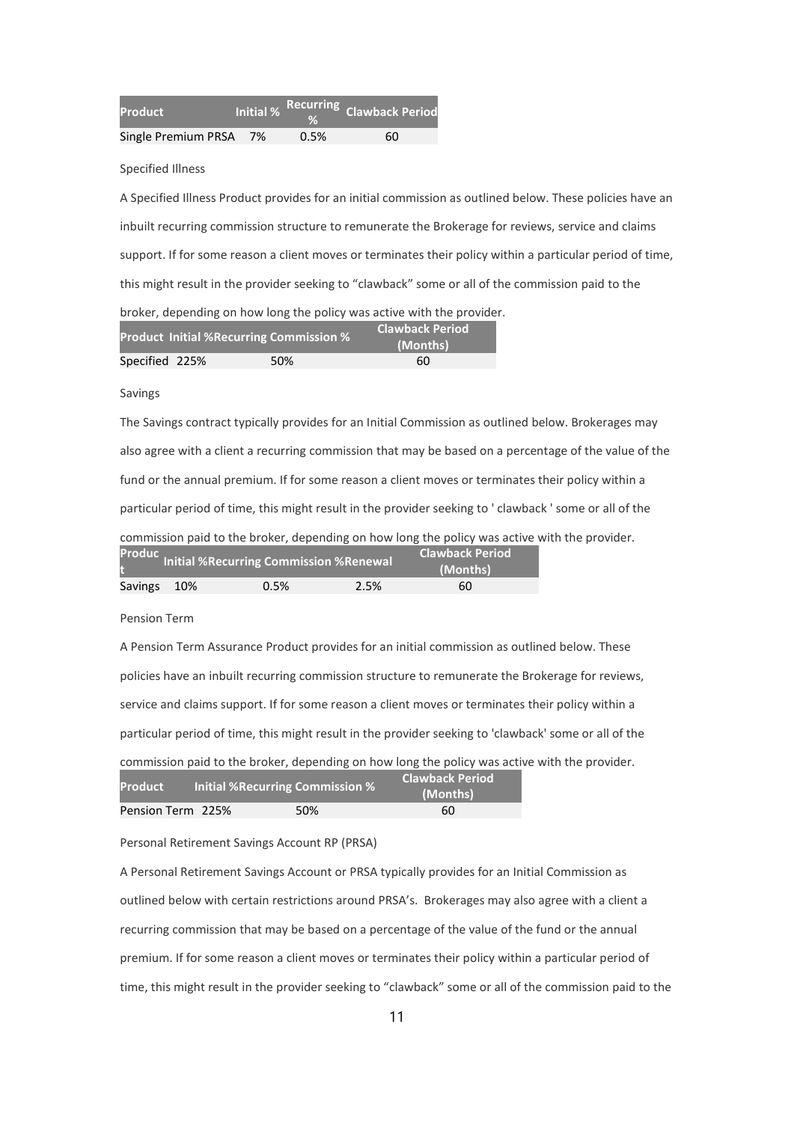| <b>Product</b>         | <b>Initial %</b> |      | Recurring Clawback Period |
|------------------------|------------------|------|---------------------------|
| Single Premium PRSA 7% |                  | 0.5% | 60                        |

Specified Illness

A Specified Illness Product provides for an initial commission as outlined below. These policies have an inbuilt recurring commission structure to remunerate the Brokerage for reviews, service and claims support. If for some reason a client moves or terminates their policy within a particular period of time, this might result in the provider seeking to "clawback" some or all of the commission paid to the broker, depending on how long the policy was active with the provider. Product Initial %Recurring Commission % Clawback Period

|                | $\sim$ |     | (Months) |
|----------------|--------|-----|----------|
| Specified 225% |        | 50% | 60       |
|                |        |     |          |

Savings

The Savings contract typically provides for an Initial Commission as outlined below. Brokerages may also agree with a client a recurring commission that may be based on a percentage of the value of the fund or the annual premium. If for some reason a client moves or terminates their policy within a particular period of time, this might result in the provider seeking to ' clawback ' some or all of the commission paid to the broker, depending on how long the policy was active with the provider. Produc **Clawback Period** 

| Savings 10% | 0.5% | 2.5% | 60 |  |
|-------------|------|------|----|--|

Pension Term

A Pension Term Assurance Product provides for an initial commission as outlined below. These policies have an inbuilt recurring commission structure to remunerate the Brokerage for reviews, service and claims support. If for some reason a client moves or terminates their policy within a particular period of time, this might result in the provider seeking to 'clawback' some or all of the commission paid to the broker, depending on how long the policy was active with the provider.

| <b>Product</b>    | Initial %Recurring Commission % | <b>Clawback Period</b><br>(Months) |
|-------------------|---------------------------------|------------------------------------|
| Pension Term 225% | 50%                             | 60                                 |

Personal Retirement Savings Account RP (PRSA)

A Personal Retirement Savings Account or PRSA typically provides for an Initial Commission as outlined below with certain restrictions around PRSA's. Brokerages may also agree with a client a recurring commission that may be based on a percentage of the value of the fund or the annual premium. If for some reason a client moves or terminates their policy within a particular period of time, this might result in the provider seeking to "clawback" some or all of the commission paid to the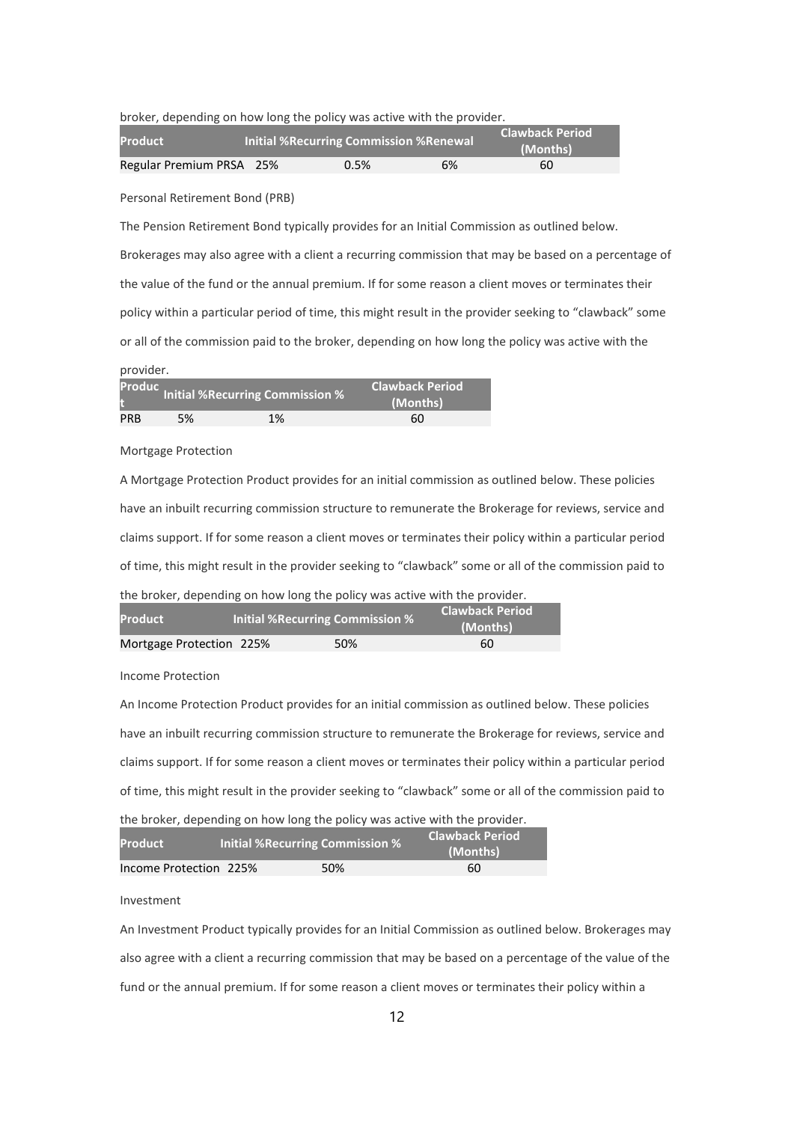broker, depending on how long the policy was active with the provider.

| <b>Product</b>           | <b>Initial % Recurring Commission % Renewal</b> |    | <b>Clawback Period</b><br>(Months) |
|--------------------------|-------------------------------------------------|----|------------------------------------|
| Regular Premium PRSA 25% | 0.5%                                            | 6% | 60                                 |

Personal Retirement Bond (PRB)

The Pension Retirement Bond typically provides for an Initial Commission as outlined below. Brokerages may also agree with a client a recurring commission that may be based on a percentage of the value of the fund or the annual premium. If for some reason a client moves or terminates their policy within a particular period of time, this might result in the provider seeking to "clawback" some or all of the commission paid to the broker, depending on how long the policy was active with the

### provider.

|            |    | Produc Initial %Recurring Commission % | <b>Clawback Period</b><br>(Months) |
|------------|----|----------------------------------------|------------------------------------|
| <b>PRB</b> | 5% | 1%                                     | 60                                 |

#### Mortgage Protection

A Mortgage Protection Product provides for an initial commission as outlined below. These policies have an inbuilt recurring commission structure to remunerate the Brokerage for reviews, service and claims support. If for some reason a client moves or terminates their policy within a particular period of time, this might result in the provider seeking to "clawback" some or all of the commission paid to the broker, depending on how long the policy was active with the provider.

| <b>Product</b>           |  | Initial %Recurring Commission % |     | <b>Clawback Period</b><br>(Months) |
|--------------------------|--|---------------------------------|-----|------------------------------------|
| Mortgage Protection 225% |  |                                 | 50% | 60                                 |

Income Protection

An Income Protection Product provides for an initial commission as outlined below. These policies have an inbuilt recurring commission structure to remunerate the Brokerage for reviews, service and claims support. If for some reason a client moves or terminates their policy within a particular period of time, this might result in the provider seeking to "clawback" some or all of the commission paid to the broker, depending on how long the policy was active with the provider.

| <b>Product</b>         | <b>Initial % Recurring Commission %</b> |     | <b>Clawback Period</b><br>(Months) |
|------------------------|-----------------------------------------|-----|------------------------------------|
| Income Protection 225% |                                         | 50% | 60                                 |

#### Investment

An Investment Product typically provides for an Initial Commission as outlined below. Brokerages may also agree with a client a recurring commission that may be based on a percentage of the value of the fund or the annual premium. If for some reason a client moves or terminates their policy within a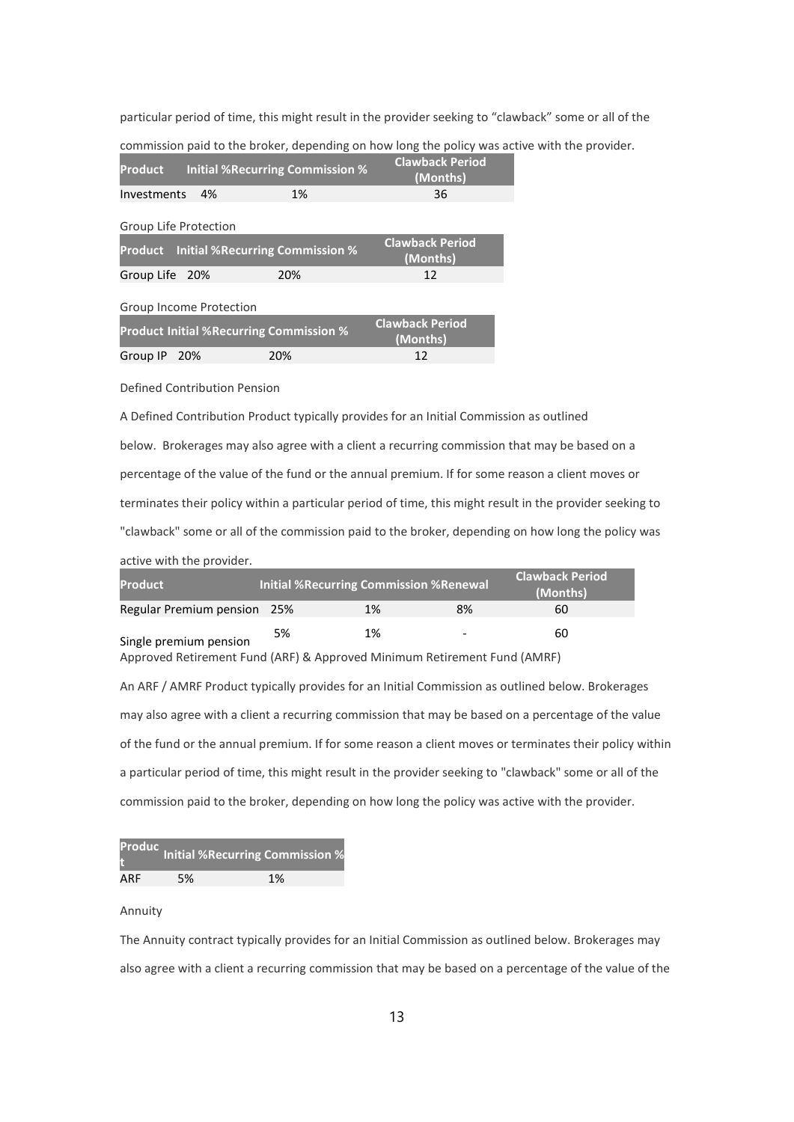particular period of time, this might result in the provider seeking to "clawback" some or all of the

commission paid to the broker, depending on how long the policy was active with the provider.

| <b>Product</b>        |                                                | <b>Initial %Recurring Commission %</b> | <b>Clawback Period</b><br>(Months)   |
|-----------------------|------------------------------------------------|----------------------------------------|--------------------------------------|
| Investments           | 4%                                             | 1%                                     | 36                                   |
| Group Life Protection |                                                |                                        |                                      |
| <b>Product</b>        | <b>Initial % Recurring Commission %</b>        |                                        | <b>Clawback Period</b><br>(Months)   |
| Group Life 20%        |                                                | 20%                                    | 12                                   |
|                       | Group Income Protection                        |                                        |                                      |
|                       | <b>Product Initial %Recurring Commission %</b> |                                        | <b>Clawback Period</b><br>$\sqrt{2}$ |

Group IP 20% 20% 20% 12

Defined Contribution Pension

A Defined Contribution Product typically provides for an Initial Commission as outlined below. Brokerages may also agree with a client a recurring commission that may be based on a percentage of the value of the fund or the annual premium. If for some reason a client moves or terminates their policy within a particular period of time, this might result in the provider seeking to "clawback" some or all of the commission paid to the broker, depending on how long the policy was active with the provider.

(Months)

| <b>Product</b>              |    | <b>Initial %Recurring Commission %Renewal</b> |                          | <b>Clawback Period</b><br>(Months) |
|-----------------------------|----|-----------------------------------------------|--------------------------|------------------------------------|
| Regular Premium pension 25% |    | 1%                                            | 8%                       | 60                                 |
| Single premium pension      | 5% | 1%                                            | $\overline{\phantom{0}}$ | 60                                 |

Approved Retirement Fund (ARF) & Approved Minimum Retirement Fund (AMRF)

An ARF / AMRF Product typically provides for an Initial Commission as outlined below. Brokerages may also agree with a client a recurring commission that may be based on a percentage of the value of the fund or the annual premium. If for some reason a client moves or terminates their policy within a particular period of time, this might result in the provider seeking to "clawback" some or all of the commission paid to the broker, depending on how long the policy was active with the provider.

|     |    | <b>Produc</b> Initial %Recurring Commission % |
|-----|----|-----------------------------------------------|
| ARF | 5% | 1%                                            |

#### Annuity

The Annuity contract typically provides for an Initial Commission as outlined below. Brokerages may also agree with a client a recurring commission that may be based on a percentage of the value of the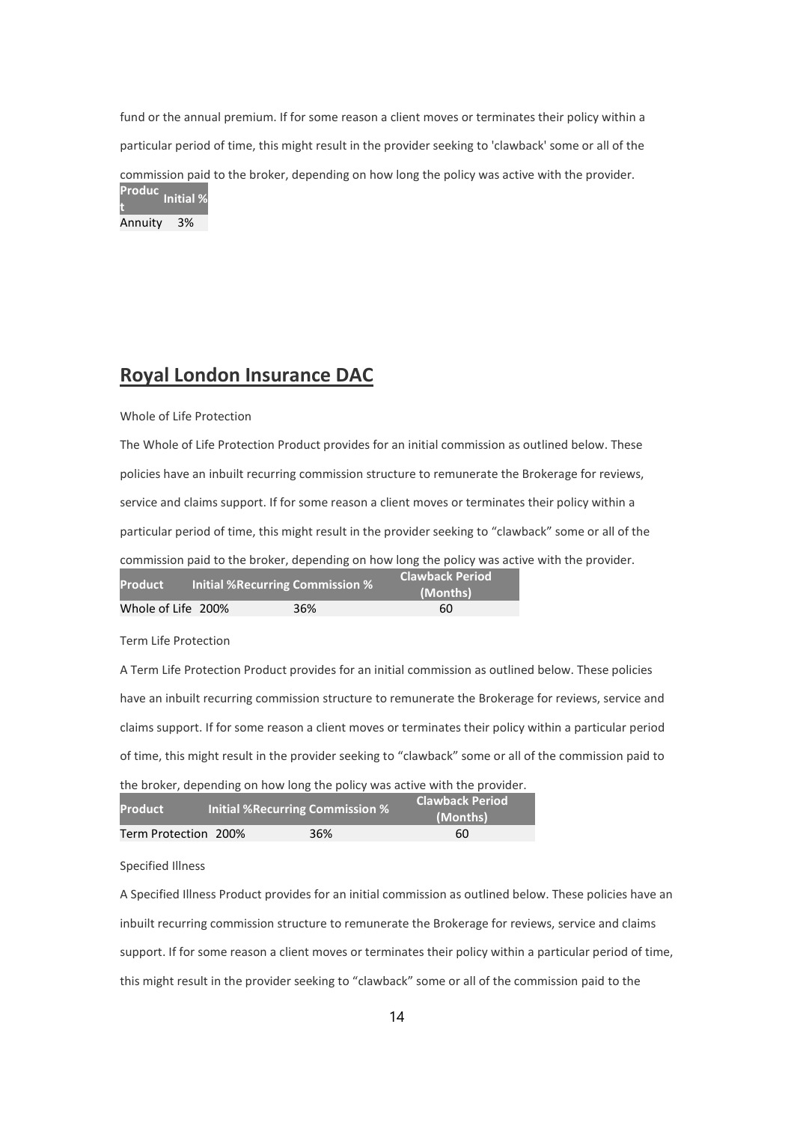fund or the annual premium. If for some reason a client moves or terminates their policy within a particular period of time, this might result in the provider seeking to 'clawback' some or all of the commission paid to the broker, depending on how long the policy was active with the provider. Produc t<br>t

Annuity 3%

# Royal London Insurance DAC

### Whole of Life Protection

The Whole of Life Protection Product provides for an initial commission as outlined below. These policies have an inbuilt recurring commission structure to remunerate the Brokerage for reviews, service and claims support. If for some reason a client moves or terminates their policy within a particular period of time, this might result in the provider seeking to "clawback" some or all of the commission paid to the broker, depending on how long the policy was active with the provider.<br>Clawback Period **Product Initial %Recurring Commission %** 

|                    |     | (Months) |
|--------------------|-----|----------|
| Whole of Life 200% | 36% | 60       |

Term Life Protection

A Term Life Protection Product provides for an initial commission as outlined below. These policies have an inbuilt recurring commission structure to remunerate the Brokerage for reviews, service and claims support. If for some reason a client moves or terminates their policy within a particular period of time, this might result in the provider seeking to "clawback" some or all of the commission paid to the broker, depending on how long the policy was active with the provider.

| the proker, depending on now long the policy was active with the provider. |
|----------------------------------------------------------------------------|
|                                                                            |

| <b>Product</b>       | Initial %Recurring Commission % | <b>Clawback Period</b><br>(Months) |
|----------------------|---------------------------------|------------------------------------|
| Term Protection 200% | 36%                             | 60                                 |

Specified Illness

A Specified Illness Product provides for an initial commission as outlined below. These policies have an inbuilt recurring commission structure to remunerate the Brokerage for reviews, service and claims support. If for some reason a client moves or terminates their policy within a particular period of time, this might result in the provider seeking to "clawback" some or all of the commission paid to the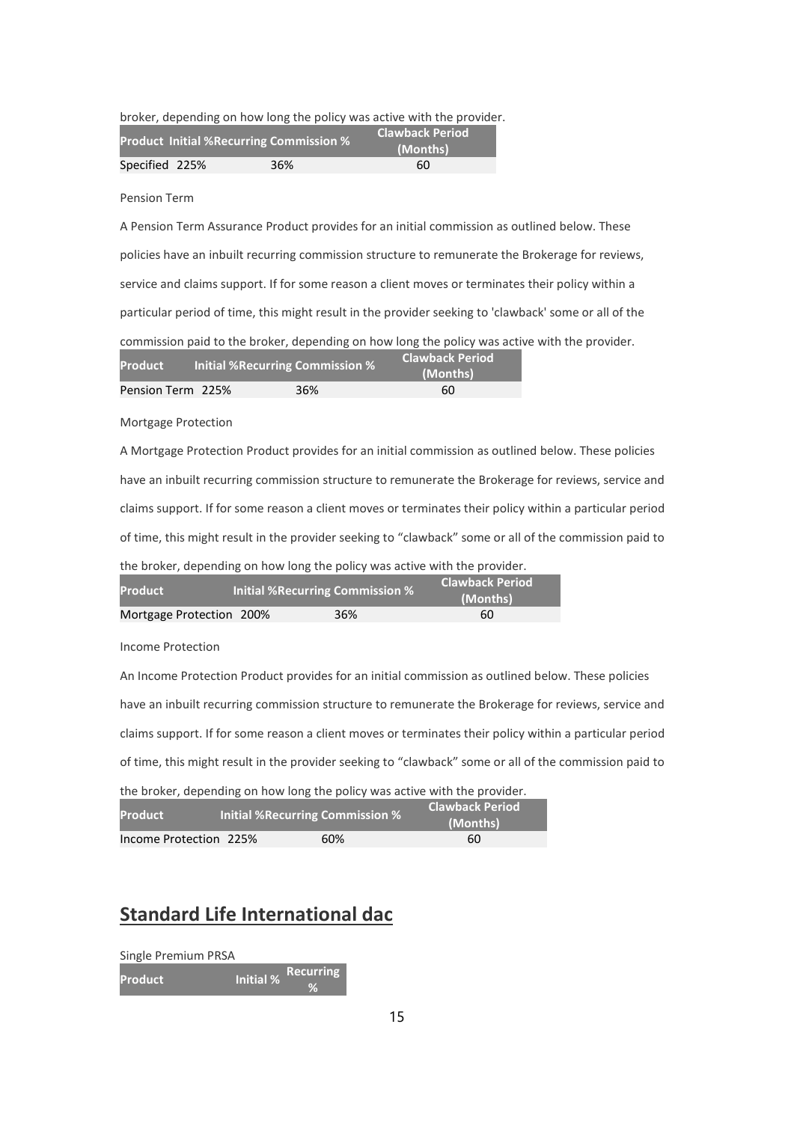|  |  | broker, depending on how long the policy was active with the provider. |
|--|--|------------------------------------------------------------------------|
|  |  |                                                                        |

|                | <b>Product Initial %Recurring Commission %</b> | <b>Clawback Period</b><br>(Months) |
|----------------|------------------------------------------------|------------------------------------|
| Specified 225% | 36%                                            | 60                                 |

Pension Term

A Pension Term Assurance Product provides for an initial commission as outlined below. These policies have an inbuilt recurring commission structure to remunerate the Brokerage for reviews, service and claims support. If for some reason a client moves or terminates their policy within a particular period of time, this might result in the provider seeking to 'clawback' some or all of the commission paid to the broker, depending on how long the policy was active with the provider.

| <b>Product</b>    | <b>Initial %Recurring Commission %</b> | <b>Clawback Period</b><br>(Months) |
|-------------------|----------------------------------------|------------------------------------|
| Pension Term 225% | 36%                                    | 60                                 |

Mortgage Protection

A Mortgage Protection Product provides for an initial commission as outlined below. These policies have an inbuilt recurring commission structure to remunerate the Brokerage for reviews, service and claims support. If for some reason a client moves or terminates their policy within a particular period of time, this might result in the provider seeking to "clawback" some or all of the commission paid to the broker, depending on how long the policy was active with the provider.

| <b>Product</b>           | <b>Initial % Recurring Commission %</b> | <b>Clawback Period</b><br>(Months) |
|--------------------------|-----------------------------------------|------------------------------------|
| Mortgage Protection 200% | 36%                                     | 60                                 |

Income Protection

An Income Protection Product provides for an initial commission as outlined below. These policies have an inbuilt recurring commission structure to remunerate the Brokerage for reviews, service and claims support. If for some reason a client moves or terminates their policy within a particular period of time, this might result in the provider seeking to "clawback" some or all of the commission paid to the broker, depending on how long the policy was active with the provider.

| the prover, depending on now long the policy was active with the provider. |                                 |     |                                    |  |
|----------------------------------------------------------------------------|---------------------------------|-----|------------------------------------|--|
| <b>Product</b>                                                             | Initial %Recurring Commission % |     | <b>Clawback Period</b><br>(Months) |  |
| Income Protection 225%                                                     |                                 | 60% | 60                                 |  |

# Standard Life International dac

Single Premium PRSA Product Initial % Recurring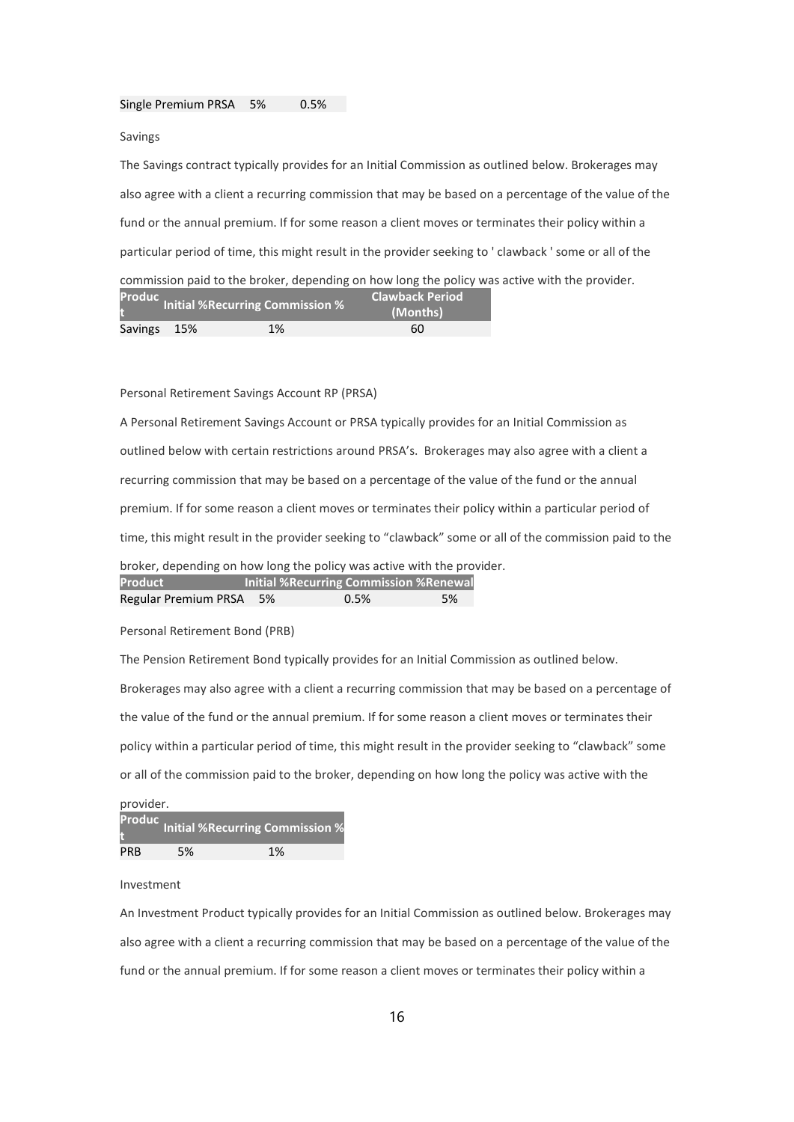#### Single Premium PRSA 5% 0.5%

Savings

The Savings contract typically provides for an Initial Commission as outlined below. Brokerages may also agree with a client a recurring commission that may be based on a percentage of the value of the fund or the annual premium. If for some reason a client moves or terminates their policy within a particular period of time, this might result in the provider seeking to ' clawback ' some or all of the commission paid to the broker, depending on how long the policy was active with the provider.

|             | Produc Initial %Recurring Commission % |    | <b>Clawback Period</b><br>(Months) |
|-------------|----------------------------------------|----|------------------------------------|
| Savings 15% |                                        | 1% | 60                                 |

Personal Retirement Savings Account RP (PRSA)

A Personal Retirement Savings Account or PRSA typically provides for an Initial Commission as outlined below with certain restrictions around PRSA's. Brokerages may also agree with a client a recurring commission that may be based on a percentage of the value of the fund or the annual premium. If for some reason a client moves or terminates their policy within a particular period of time, this might result in the provider seeking to "clawback" some or all of the commission paid to the broker, depending on how long the policy was active with the provider. Product **Initial %Recurring Commission %Renewal** Regular Premium PRSA 5% 0.5% 5%

Personal Retirement Bond (PRB)

The Pension Retirement Bond typically provides for an Initial Commission as outlined below. Brokerages may also agree with a client a recurring commission that may be based on a percentage of the value of the fund or the annual premium. If for some reason a client moves or terminates their policy within a particular period of time, this might result in the provider seeking to "clawback" some or all of the commission paid to the broker, depending on how long the policy was active with the

| provider.  |    |                                               |  |  |
|------------|----|-----------------------------------------------|--|--|
|            |    | <b>Produc</b> Initial %Recurring Commission % |  |  |
| <b>PRB</b> | 5% | 1%                                            |  |  |

Investment

An Investment Product typically provides for an Initial Commission as outlined below. Brokerages may also agree with a client a recurring commission that may be based on a percentage of the value of the fund or the annual premium. If for some reason a client moves or terminates their policy within a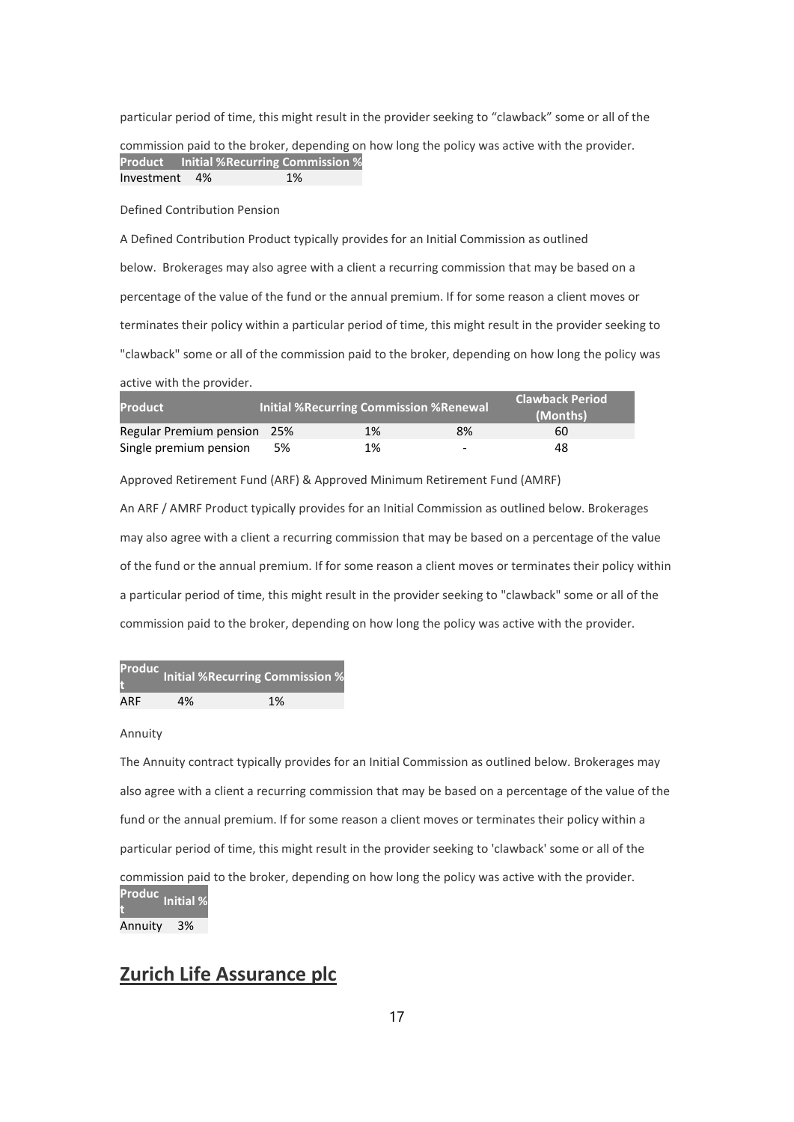particular period of time, this might result in the provider seeking to "clawback" some or all of the

commission paid to the broker, depending on how long the policy was active with the provider. Product Initial %Recurring Commission % Investment 4% 1%

Defined Contribution Pension

A Defined Contribution Product typically provides for an Initial Commission as outlined below. Brokerages may also agree with a client a recurring commission that may be based on a percentage of the value of the fund or the annual premium. If for some reason a client moves or terminates their policy within a particular period of time, this might result in the provider seeking to "clawback" some or all of the commission paid to the broker, depending on how long the policy was active with the provider.

| <b>Product</b>              |    | Initial %Recurring Commission %Renewal |                          | <b>Clawback Period</b><br>(Months) <sup>)</sup> |
|-----------------------------|----|----------------------------------------|--------------------------|-------------------------------------------------|
| Regular Premium pension 25% |    | 1%                                     | 8%                       | 60                                              |
| Single premium pension      | 5% | 1%                                     | $\overline{\phantom{0}}$ | 48                                              |

Approved Retirement Fund (ARF) & Approved Minimum Retirement Fund (AMRF)

An ARF / AMRF Product typically provides for an Initial Commission as outlined below. Brokerages may also agree with a client a recurring commission that may be based on a percentage of the value of the fund or the annual premium. If for some reason a client moves or terminates their policy within a particular period of time, this might result in the provider seeking to "clawback" some or all of the commission paid to the broker, depending on how long the policy was active with the provider.

|     |    | <b>Produc</b> Initial %Recurring Commission % |
|-----|----|-----------------------------------------------|
| ARF | 4% | 1%                                            |

#### Annuity

The Annuity contract typically provides for an Initial Commission as outlined below. Brokerages may also agree with a client a recurring commission that may be based on a percentage of the value of the fund or the annual premium. If for some reason a client moves or terminates their policy within a particular period of time, this might result in the provider seeking to 'clawback' some or all of the commission paid to the broker, depending on how long the policy was active with the provider. Produc t<br>t

Annuity 3%

# Zurich Life Assurance plc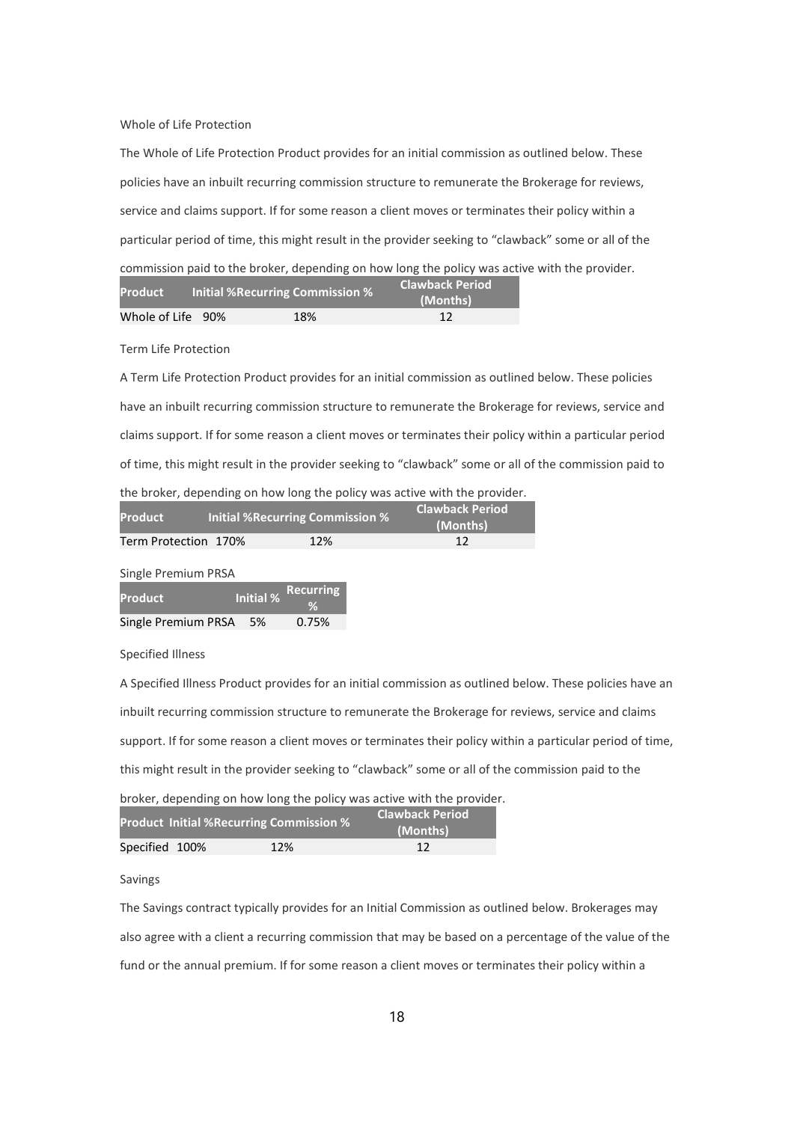Whole of Life Protection

The Whole of Life Protection Product provides for an initial commission as outlined below. These policies have an inbuilt recurring commission structure to remunerate the Brokerage for reviews, service and claims support. If for some reason a client moves or terminates their policy within a particular period of time, this might result in the provider seeking to "clawback" some or all of the commission paid to the broker, depending on how long the policy was active with the provider.

| <b>Product</b>    | Initial %Recurring Commission % | <b>Clawback Period</b><br>(Months) |
|-------------------|---------------------------------|------------------------------------|
| Whole of Life 90% | 18%                             | 12                                 |

Term Life Protection

A Term Life Protection Product provides for an initial commission as outlined below. These policies have an inbuilt recurring commission structure to remunerate the Brokerage for reviews, service and claims support. If for some reason a client moves or terminates their policy within a particular period of time, this might result in the provider seeking to "clawback" some or all of the commission paid to the broker, depending on how long the policy was active with the provider.

| <b>Product</b>       | Initial %Recurring Commission % | <b>Clawback Period</b><br>(Months) |
|----------------------|---------------------------------|------------------------------------|
| Term Protection 170% | 12%                             | 12                                 |

Single Premium PRSA

| <b>Product</b>         | Initial % Recurring |
|------------------------|---------------------|
| Single Premium PRSA 5% | 0.75%               |

Specified Illness

A Specified Illness Product provides for an initial commission as outlined below. These policies have an inbuilt recurring commission structure to remunerate the Brokerage for reviews, service and claims support. If for some reason a client moves or terminates their policy within a particular period of time, this might result in the provider seeking to "clawback" some or all of the commission paid to the

| broker, depending on how long the policy was active with the provider. |                                             |
|------------------------------------------------------------------------|---------------------------------------------|
| <b>Product Initial %Recurring Commission %</b>                         | <b>Clawback Period</b>                      |
|                                                                        | $\sqrt{2}$ $\sqrt{2}$ $\sqrt{2}$ $\sqrt{2}$ |

|                | <b>Product initial / Anecurring Commission / 6</b> | (Months) |
|----------------|----------------------------------------------------|----------|
| Specified 100% | 12%                                                |          |

### Savings

The Savings contract typically provides for an Initial Commission as outlined below. Brokerages may also agree with a client a recurring commission that may be based on a percentage of the value of the fund or the annual premium. If for some reason a client moves or terminates their policy within a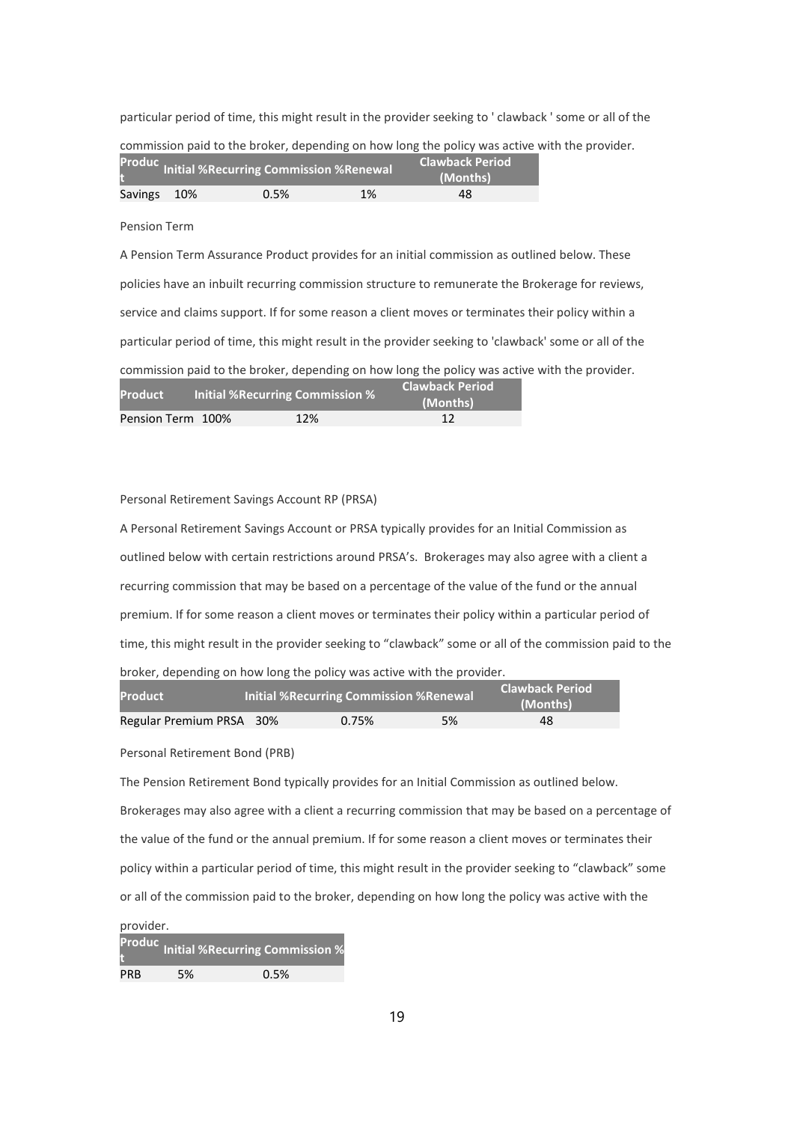particular period of time, this might result in the provider seeking to ' clawback ' some or all of the

|                                                                         |     | COMMITTED FOR THE REPORT OF BUILDING OF BUILDING CHE ROLLY WAS ACTIVE WITH THE RE |    |          |  |  |
|-------------------------------------------------------------------------|-----|-----------------------------------------------------------------------------------|----|----------|--|--|
| <b>Clawback Period</b><br>Produc Initial %Recurring Commission %Renewal |     |                                                                                   |    |          |  |  |
|                                                                         |     |                                                                                   |    | (Months) |  |  |
| Savings                                                                 | 10% | 0.5%                                                                              | 1% | 48       |  |  |

commission paid to the broker, depending on how long the policy was active with the provider.

#### Pension Term

A Pension Term Assurance Product provides for an initial commission as outlined below. These policies have an inbuilt recurring commission structure to remunerate the Brokerage for reviews, service and claims support. If for some reason a client moves or terminates their policy within a particular period of time, this might result in the provider seeking to 'clawback' some or all of the commission paid to the broker, depending on how long the policy was active with the provider. Product Initial %Recurring Commission % Clawback Period

| $\blacksquare$    | <b>THERE / SINCEBITING</b> COMMISSION /S |     | (Months) |
|-------------------|------------------------------------------|-----|----------|
| Pension Term 100% |                                          | 12% |          |

#### Personal Retirement Savings Account RP (PRSA)

A Personal Retirement Savings Account or PRSA typically provides for an Initial Commission as outlined below with certain restrictions around PRSA's. Brokerages may also agree with a client a recurring commission that may be based on a percentage of the value of the fund or the annual premium. If for some reason a client moves or terminates their policy within a particular period of time, this might result in the provider seeking to "clawback" some or all of the commission paid to the broker, depending on how long the policy was active with the provider.

| <b>Product</b>           | Initial %Recurring Commission %Renewal |       | <b>Clawback Period</b><br>(Months) |    |
|--------------------------|----------------------------------------|-------|------------------------------------|----|
| Regular Premium PRSA 30% |                                        | 0.75% | 5%                                 | 48 |

Personal Retirement Bond (PRB)

The Pension Retirement Bond typically provides for an Initial Commission as outlined below. Brokerages may also agree with a client a recurring commission that may be based on a percentage of the value of the fund or the annual premium. If for some reason a client moves or terminates their policy within a particular period of time, this might result in the provider seeking to "clawback" some or all of the commission paid to the broker, depending on how long the policy was active with the

|            |    | <b>Produc</b> Initial %Recurring Commission % |
|------------|----|-----------------------------------------------|
| <b>PRB</b> | 5% | 0.5%                                          |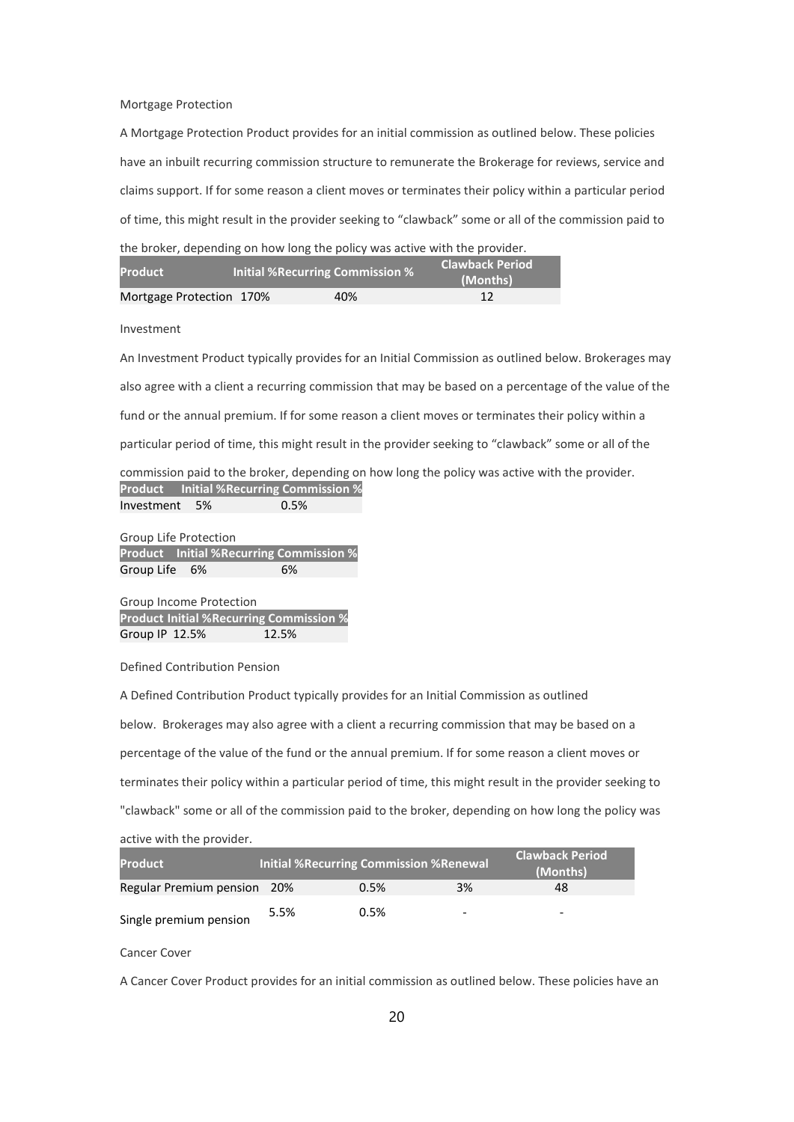### Mortgage Protection

A Mortgage Protection Product provides for an initial commission as outlined below. These policies have an inbuilt recurring commission structure to remunerate the Brokerage for reviews, service and claims support. If for some reason a client moves or terminates their policy within a particular period of time, this might result in the provider seeking to "clawback" some or all of the commission paid to the broker, depending on how long the policy was active with the provider.

|                | the prover, depending on now long the policy was active with the provider. |                            |
|----------------|----------------------------------------------------------------------------|----------------------------|
|                |                                                                            | <b>Clawback Period</b>     |
| <b>Product</b> | <b>Initial %Recurring Commission %</b>                                     | $\sqrt{AB}$ and $\sqrt{A}$ |

| <b>Product</b>           | Initial %Recurring Commission % | (Months) |
|--------------------------|---------------------------------|----------|
| Mortgage Protection 170% | 40%                             |          |

### Investment

An Investment Product typically provides for an Initial Commission as outlined below. Brokerages may also agree with a client a recurring commission that may be based on a percentage of the value of the fund or the annual premium. If for some reason a client moves or terminates their policy within a particular period of time, this might result in the provider seeking to "clawback" some or all of the

commission paid to the broker, depending on how long the policy was active with the provider. Product Initial %Recurring Commission % Investment 5% 0.5%

Group Life Protection Product Initial %Recurring Commission % Group Life 6% 6%

Group Income Protection Product Initial %Recurring Commission % Group IP 12.5% 12.5%

Defined Contribution Pension

A Defined Contribution Product typically provides for an Initial Commission as outlined below. Brokerages may also agree with a client a recurring commission that may be based on a percentage of the value of the fund or the annual premium. If for some reason a client moves or terminates their policy within a particular period of time, this might result in the provider seeking to "clawback" some or all of the commission paid to the broker, depending on how long the policy was active with the provider.

| <b>Product</b>              |      | <b>Initial %Recurring Commission %Renewal</b> |    | Clawback Period<br>(Months) |
|-----------------------------|------|-----------------------------------------------|----|-----------------------------|
| Regular Premium pension 20% |      | 0.5%                                          | 3% | 48                          |
| Single premium pension      | 5.5% | 0.5%                                          | -  | -                           |

Cancer Cover

A Cancer Cover Product provides for an initial commission as outlined below. These policies have an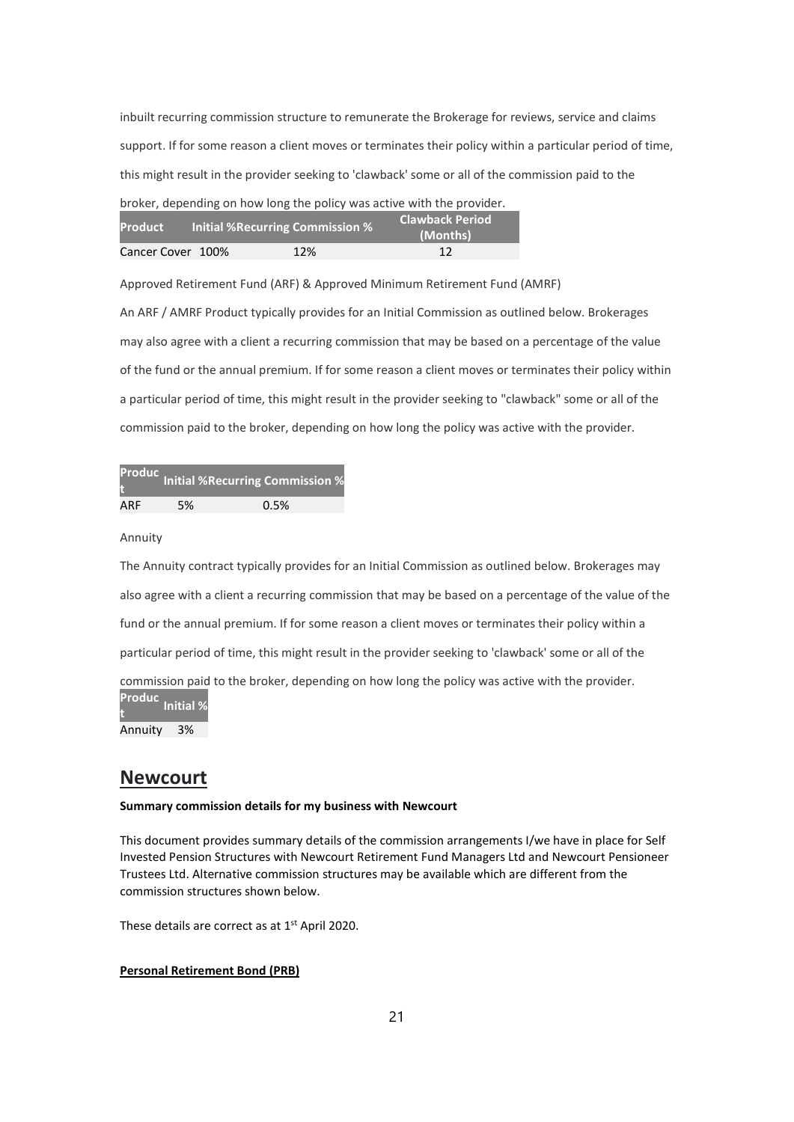inbuilt recurring commission structure to remunerate the Brokerage for reviews, service and claims support. If for some reason a client moves or terminates their policy within a particular period of time, this might result in the provider seeking to 'clawback' some or all of the commission paid to the broker, depending on how long the policy was active with the provider.

| broker, depending on now long the policy was active with the provider. |  |  |  |  |
|------------------------------------------------------------------------|--|--|--|--|
|                                                                        |  |  |  |  |

| <b>Product</b>    | <b>Initial % Recurring Commission %</b> | <b>Clawback Period</b><br>(Months) |
|-------------------|-----------------------------------------|------------------------------------|
| Cancer Cover 100% | 12%                                     | 12                                 |

Approved Retirement Fund (ARF) & Approved Minimum Retirement Fund (AMRF)

An ARF / AMRF Product typically provides for an Initial Commission as outlined below. Brokerages may also agree with a client a recurring commission that may be based on a percentage of the value of the fund or the annual premium. If for some reason a client moves or terminates their policy within a particular period of time, this might result in the provider seeking to "clawback" some or all of the commission paid to the broker, depending on how long the policy was active with the provider.

|     |    | <b>Produc</b> Initial %Recurring Commission % |
|-----|----|-----------------------------------------------|
| ARF | 5% | 0.5%                                          |

Annuity

The Annuity contract typically provides for an Initial Commission as outlined below. Brokerages may also agree with a client a recurring commission that may be based on a percentage of the value of the fund or the annual premium. If for some reason a client moves or terminates their policy within a particular period of time, this might result in the provider seeking to 'clawback' some or all of the commission paid to the broker, depending on how long the policy was active with the provider. Produc t<br>t

Annuity 3%

## Newcourt

### Summary commission details for my business with Newcourt

This document provides summary details of the commission arrangements I/we have in place for Self Invested Pension Structures with Newcourt Retirement Fund Managers Ltd and Newcourt Pensioneer Trustees Ltd. Alternative commission structures may be available which are different from the commission structures shown below.

These details are correct as at 1<sup>st</sup> April 2020.

### Personal Retirement Bond (PRB)